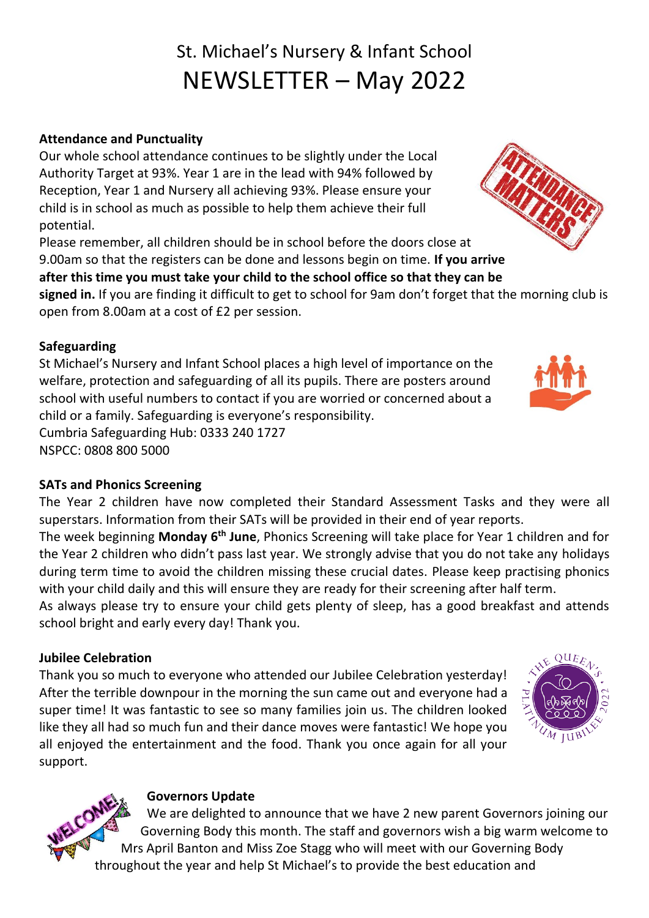# St. Michael's Nursery & Infant School NEWSLETTER – May 2022

#### **Attendance and Punctuality**

Our whole school attendance continues to be slightly under the Local Authority Target at 93%. Year 1 are in the lead with 94% followed by Reception, Year 1 and Nursery all achieving 93%. Please ensure your child is in school as much as possible to help them achieve their full potential.

Please remember, all children should be in school before the doors close at 9.00am so that the registers can be done and lessons begin on time. **If you arrive after this time you must take your child to the school office so that they can be** 

**signed in.** If you are finding it difficult to get to school for 9am don't forget that the morning club is open from 8.00am at a cost of £2 per session.

#### **Safeguarding**

St Michael's Nursery and Infant School places a high level of importance on the welfare, protection and safeguarding of all its pupils. There are posters around school with useful numbers to contact if you are worried or concerned about a child or a family. Safeguarding is everyone's responsibility. Cumbria Safeguarding Hub: 0333 240 1727

NSPCC: 0808 800 5000

#### **SATs and Phonics Screening**

The Year 2 children have now completed their Standard Assessment Tasks and they were all superstars. Information from their SATs will be provided in their end of year reports.

The week beginning Monday 6<sup>th</sup> June, Phonics Screening will take place for Year 1 children and for the Year 2 children who didn't pass last year. We strongly advise that you do not take any holidays during term time to avoid the children missing these crucial dates. Please keep practising phonics with your child daily and this will ensure they are ready for their screening after half term.

As always please try to ensure your child gets plenty of sleep, has a good breakfast and attends school bright and early every day! Thank you.

#### **Jubilee Celebration**

Thank you so much to everyone who attended our Jubilee Celebration yesterday! After the terrible downpour in the morning the sun came out and everyone had a super time! It was fantastic to see so many families join us. The children looked like they all had so much fun and their dance moves were fantastic! We hope you all enjoyed the entertainment and the food. Thank you once again for all your support.

#### **Governors Update**

We are delighted to announce that we have 2 new parent Governors joining our Governing Body this month. The staff and governors wish a big warm welcome to Mrs April Banton and Miss Zoe Stagg who will meet with our Governing Body throughout the year and help St Michael's to provide the best education and







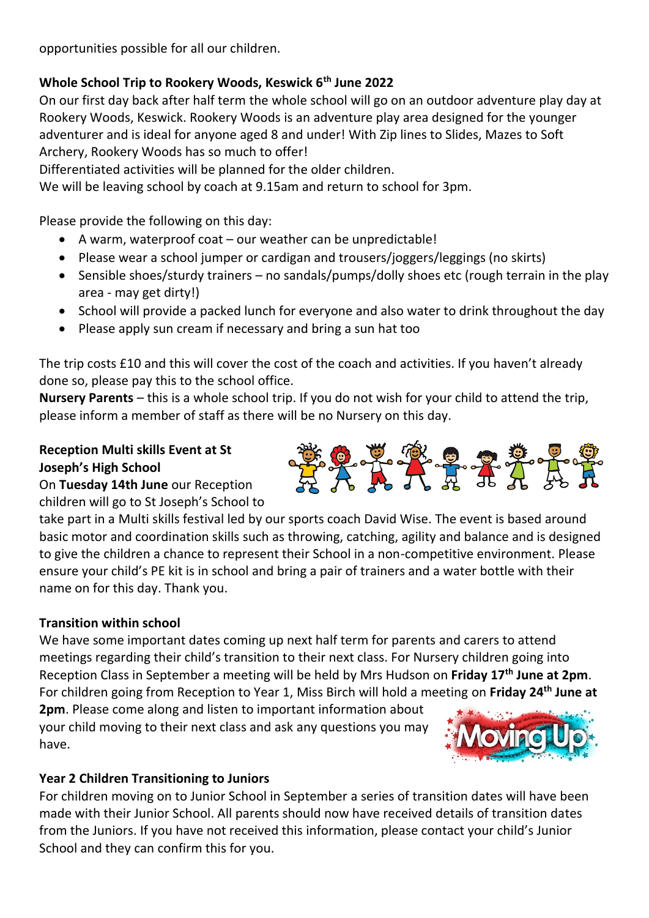opportunities possible for all our children.

#### **Whole School Trip to Rookery Woods, Keswick 6th June 2022**

On our first day back after half term the whole school will go on an outdoor adventure play day at Rookery Woods, Keswick. Rookery Woods is an adventure play area designed for the younger adventurer and is ideal for anyone aged 8 and under! With Zip lines to Slides, Mazes to Soft Archery, Rookery Woods has so much to offer!

Differentiated activities will be planned for the older children.

We will be leaving school by coach at 9.15am and return to school for 3pm.

Please provide the following on this day:

- A warm, waterproof coat our weather can be unpredictable!
- Please wear a school jumper or cardigan and trousers/joggers/leggings (no skirts)
- Sensible shoes/sturdy trainers no sandals/pumps/dolly shoes etc (rough terrain in the play area - may get dirty!)
- School will provide a packed lunch for everyone and also water to drink throughout the day
- Please apply sun cream if necessary and bring a sun hat too

The trip costs £10 and this will cover the cost of the coach and activities. If you haven't already done so, please pay this to the school office.

**Nursery Parents** – this is a whole school trip. If you do not wish for your child to attend the trip, please inform a member of staff as there will be no Nursery on this day.

#### **Reception Multi skills Event at St Joseph's High School**

On **Tuesday 14th June** our Reception children will go to St Joseph's School to

take part in a Multi skills festival led by our sports coach David Wise. The event is based around basic motor and coordination skills such as throwing, catching, agility and balance and is designed to give the children a chance to represent their School in a non-competitive environment. Please ensure your child's PE kit is in school and bring a pair of trainers and a water bottle with their name on for this day. Thank you.

#### **Transition within school**

We have some important dates coming up next half term for parents and carers to attend meetings regarding their child's transition to their next class. For Nursery children going into Reception Class in September a meeting will be held by Mrs Hudson on **Friday 17th June at 2pm**. For children going from Reception to Year 1, Miss Birch will hold a meeting on **Friday 24th June at** 

**2pm**. Please come along and listen to important information about your child moving to their next class and ask any questions you may have.



#### **Year 2 Children Transitioning to Juniors**

For children moving on to Junior School in September a series of transition dates will have been made with their Junior School. All parents should now have received details of transition dates from the Juniors. If you have not received this information, please contact your child's Junior School and they can confirm this for you.

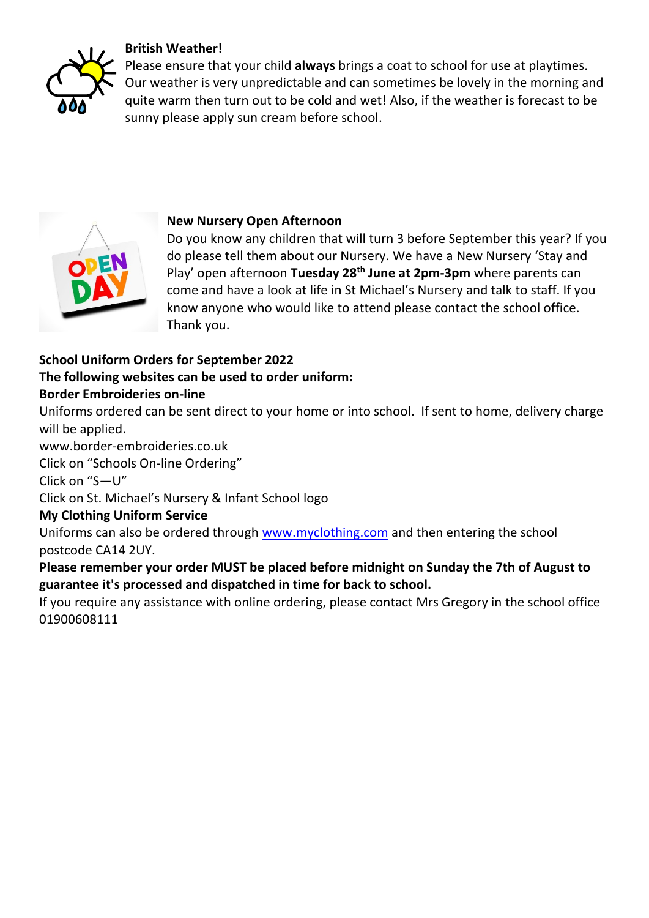#### **British Weather!**



Please ensure that your child **always** brings a coat to school for use at playtimes. Our weather is very unpredictable and can sometimes be lovely in the morning and quite warm then turn out to be cold and wet! Also, if the weather is forecast to be sunny please apply sun cream before school.



#### **New Nursery Open Afternoon**

Do you know any children that will turn 3 before September this year? If you do please tell them about our Nursery. We have a New Nursery 'Stay and Play' open afternoon **Tuesday 28th June at 2pm-3pm** where parents can come and have a look at life in St Michael's Nursery and talk to staff. If you know anyone who would like to attend please contact the school office. Thank you.

## **School Uniform Orders for September 2022 The following websites can be used to order uniform:**

#### **Border Embroideries on-line**

Uniforms ordered can be sent direct to your home or into school. If sent to home, delivery charge will be applied.

www.border-embroideries.co.uk

Click on "Schools On-line Ordering"

Click on "S—U"

Click on St. Michael's Nursery & Infant School logo

#### **My Clothing Uniform Service**

Uniforms can also be ordered through [www.myclothing.com](http://www.myclothing.com/) and then entering the school postcode CA14 2UY.

#### **Please remember your order MUST be placed before midnight on Sunday the 7th of August to guarantee it's processed and dispatched in time for back to school.**

If you require any assistance with online ordering, please contact Mrs Gregory in the school office 01900608111